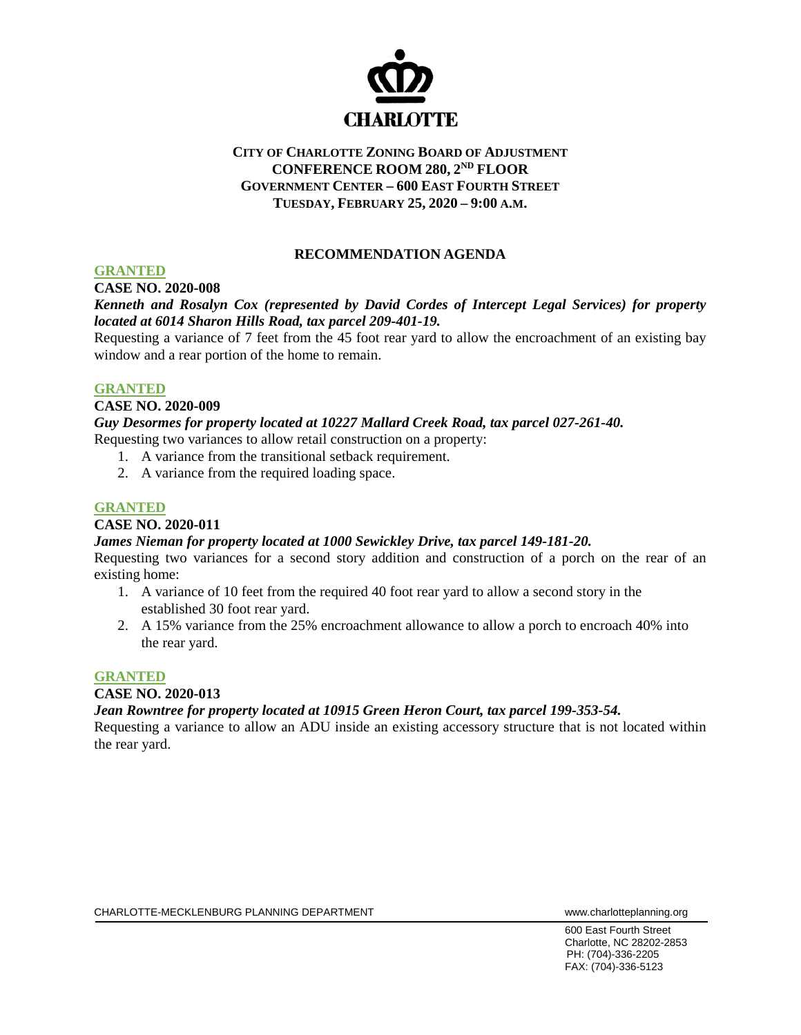

## **CITY OF CHARLOTTE ZONING BOARD OF ADJUSTMENT CONFERENCE ROOM 280, 2ND FLOOR GOVERNMENT CENTER – 600 EAST FOURTH STREET TUESDAY, FEBRUARY 25, 2020 – 9:00 A.M.**

## **RECOMMENDATION AGENDA**

## **GRANTED**

## **CASE NO. 2020-008**

## *Kenneth and Rosalyn Cox (represented by David Cordes of Intercept Legal Services) for property located at 6014 Sharon Hills Road, tax parcel 209-401-19.*

Requesting a variance of 7 feet from the 45 foot rear yard to allow the encroachment of an existing bay window and a rear portion of the home to remain.

#### **GRANTED**

#### **CASE NO. 2020-009**

*Guy Desormes for property located at 10227 Mallard Creek Road, tax parcel 027-261-40.*  Requesting two variances to allow retail construction on a property:

- 1. A variance from the transitional setback requirement.
- 2. A variance from the required loading space.

## **GRANTED**

## **CASE NO. 2020-011**

## *James Nieman for property located at 1000 Sewickley Drive, tax parcel 149-181-20.*

Requesting two variances for a second story addition and construction of a porch on the rear of an existing home:

- 1. A variance of 10 feet from the required 40 foot rear yard to allow a second story in the established 30 foot rear yard.
- 2. A 15% variance from the 25% encroachment allowance to allow a porch to encroach 40% into the rear yard.

## **GRANTED**

## **CASE NO. 2020-013**

## *Jean Rowntree for property located at 10915 Green Heron Court, tax parcel 199-353-54.*

Requesting a variance to allow an ADU inside an existing accessory structure that is not located within the rear yard.

600 East Fourth Street Charlotte, NC 28202-2853 PH: (704)-336-2205 FAX: (704)-336-5123